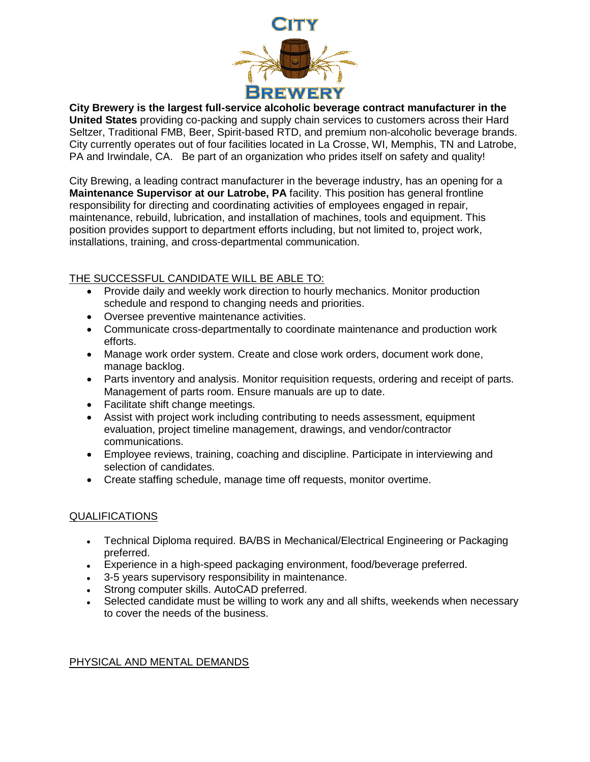

**City Brewery is the largest full-service alcoholic beverage contract manufacturer in the United States** providing co-packing and supply chain services to customers across their Hard Seltzer, Traditional FMB, Beer, Spirit-based RTD, and premium non-alcoholic beverage brands. City currently operates out of four facilities located in La Crosse, WI, Memphis, TN and Latrobe, PA and Irwindale, CA. Be part of an organization who prides itself on safety and quality!

City Brewing, a leading contract manufacturer in the beverage industry, has an opening for a **Maintenance Supervisor at our Latrobe, PA** facility. This position has general frontline responsibility for directing and coordinating activities of employees engaged in repair, maintenance, rebuild, lubrication, and installation of machines, tools and equipment. This position provides support to department efforts including, but not limited to, project work, installations, training, and cross-departmental communication.

## THE SUCCESSFUL CANDIDATE WILL BE ABLE TO:

- Provide daily and weekly work direction to hourly mechanics. Monitor production schedule and respond to changing needs and priorities.
- Oversee preventive maintenance activities.
- Communicate cross-departmentally to coordinate maintenance and production work efforts.
- Manage work order system. Create and close work orders, document work done, manage backlog.
- Parts inventory and analysis. Monitor requisition requests, ordering and receipt of parts. Management of parts room. Ensure manuals are up to date.
- Facilitate shift change meetings.
- Assist with project work including contributing to needs assessment, equipment evaluation, project timeline management, drawings, and vendor/contractor communications.
- Employee reviews, training, coaching and discipline. Participate in interviewing and selection of candidates.
- Create staffing schedule, manage time off requests, monitor overtime.

## QUALIFICATIONS

- Technical Diploma required. BA/BS in Mechanical/Electrical Engineering or Packaging preferred.
- Experience in a high-speed packaging environment, food/beverage preferred.
- 3-5 years supervisory responsibility in maintenance.
- Strong computer skills. AutoCAD preferred.
- Selected candidate must be willing to work any and all shifts, weekends when necessary to cover the needs of the business.

## PHYSICAL AND MENTAL DEMANDS